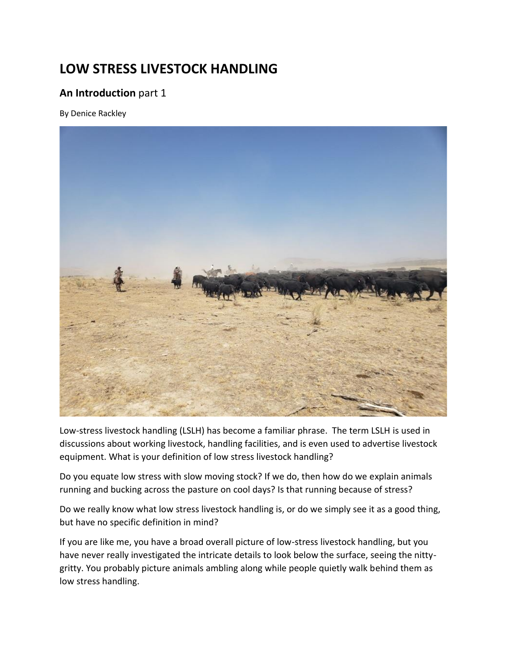# **LOW STRESS LIVESTOCK HANDLING**

# **An Introduction** part 1

By Denice Rackley



Low-stress livestock handling (LSLH) has become a familiar phrase. The term LSLH is used in discussions about working livestock, handling facilities, and is even used to advertise livestock equipment. What is your definition of low stress livestock handling?

Do you equate low stress with slow moving stock? If we do, then how do we explain animals running and bucking across the pasture on cool days? Is that running because of stress?

Do we really know what low stress livestock handling is, or do we simply see it as a good thing, but have no specific definition in mind?

If you are like me, you have a broad overall picture of low-stress livestock handling, but you have never really investigated the intricate details to look below the surface, seeing the nittygritty. You probably picture animals ambling along while people quietly walk behind them as low stress handling.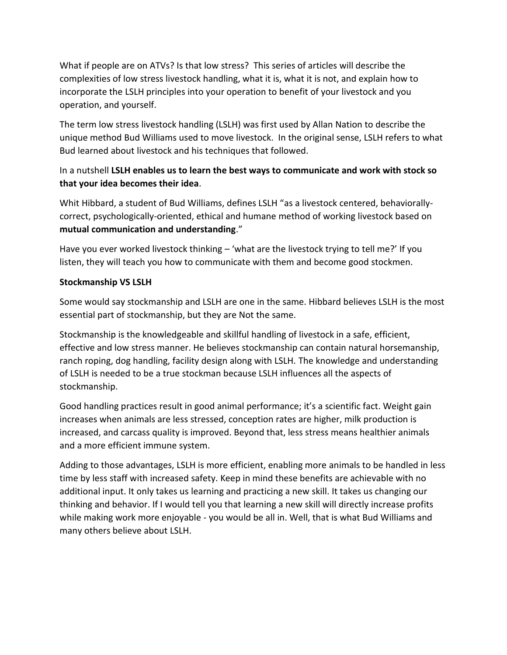What if people are on ATVs? Is that low stress? This series of articles will describe the complexities of low stress livestock handling, what it is, what it is not, and explain how to incorporate the LSLH principles into your operation to benefit of your livestock and you operation, and yourself.

The term low stress livestock handling (LSLH) was first used by Allan Nation to describe the unique method Bud Williams used to move livestock. In the original sense, LSLH refers to what Bud learned about livestock and his techniques that followed.

# In a nutshell **LSLH enables us to learn the best ways to communicate and work with stock so that your idea becomes their idea**.

Whit Hibbard, a student of Bud Williams, defines LSLH "as a livestock centered, behaviorallycorrect, psychologically-oriented, ethical and humane method of working livestock based on **mutual communication and understanding**."

Have you ever worked livestock thinking – 'what are the livestock trying to tell me?' If you listen, they will teach you how to communicate with them and become good stockmen.

### **Stockmanship VS LSLH**

Some would say stockmanship and LSLH are one in the same. Hibbard believes LSLH is the most essential part of stockmanship, but they are Not the same.

Stockmanship is the knowledgeable and skillful handling of livestock in a safe, efficient, effective and low stress manner. He believes stockmanship can contain natural horsemanship, ranch roping, dog handling, facility design along with LSLH. The knowledge and understanding of LSLH is needed to be a true stockman because LSLH influences all the aspects of stockmanship.

Good handling practices result in good animal performance; it's a scientific fact. Weight gain increases when animals are less stressed, conception rates are higher, milk production is increased, and carcass quality is improved. Beyond that, less stress means healthier animals and a more efficient immune system.

Adding to those advantages, LSLH is more efficient, enabling more animals to be handled in less time by less staff with increased safety. Keep in mind these benefits are achievable with no additional input. It only takes us learning and practicing a new skill. It takes us changing our thinking and behavior. If I would tell you that learning a new skill will directly increase profits while making work more enjoyable - you would be all in. Well, that is what Bud Williams and many others believe about LSLH.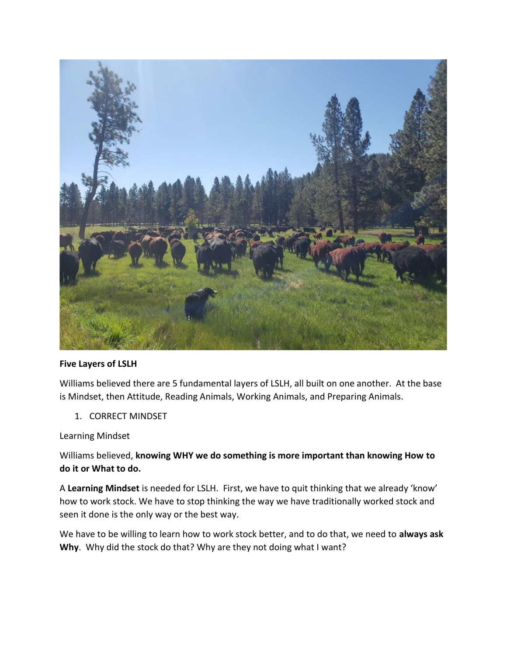

#### **Five Layers of LSLH**

Williams believed there are 5 fundamental layers of LSLH, all built on one another. At the base is Mindset, then Attitude, Reading Animals, Working Animals, and Preparing Animals.

1. CORRECT MINDSET

Learning Mindset

Williams believed, **knowing WHY we do something is more important than knowing How to do it or What to do.** 

A **Learning Mindset** is needed for LSLH. First, we have to quit thinking that we already 'know' how to work stock. We have to stop thinking the way we have traditionally worked stock and seen it done is the only way or the best way.

We have to be willing to learn how to work stock better, and to do that, we need to **always ask Why**. Why did the stock do that? Why are they not doing what I want?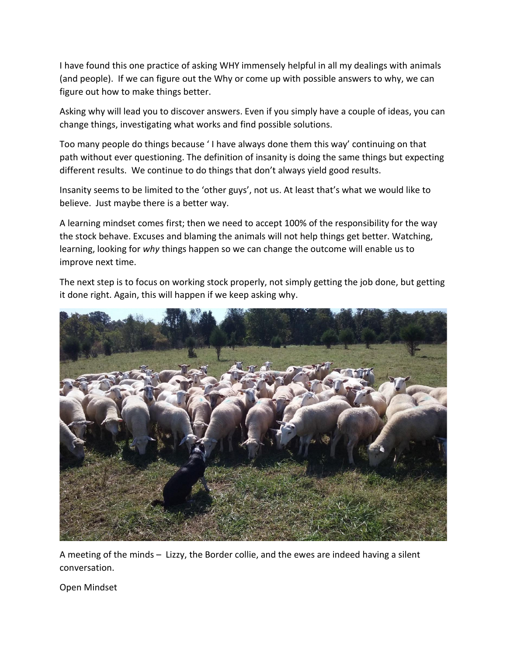I have found this one practice of asking WHY immensely helpful in all my dealings with animals (and people). If we can figure out the Why or come up with possible answers to why, we can figure out how to make things better.

Asking why will lead you to discover answers. Even if you simply have a couple of ideas, you can change things, investigating what works and find possible solutions.

Too many people do things because ' I have always done them this way' continuing on that path without ever questioning. The definition of insanity is doing the same things but expecting different results. We continue to do things that don't always yield good results.

Insanity seems to be limited to the 'other guys', not us. At least that's what we would like to believe. Just maybe there is a better way.

A learning mindset comes first; then we need to accept 100% of the responsibility for the way the stock behave. Excuses and blaming the animals will not help things get better. Watching, learning, looking for *why* things happen so we can change the outcome will enable us to improve next time.

The next step is to focus on working stock properly, not simply getting the job done, but getting it done right. Again, this will happen if we keep asking why.



A meeting of the minds – Lizzy, the Border collie, and the ewes are indeed having a silent conversation.

Open Mindset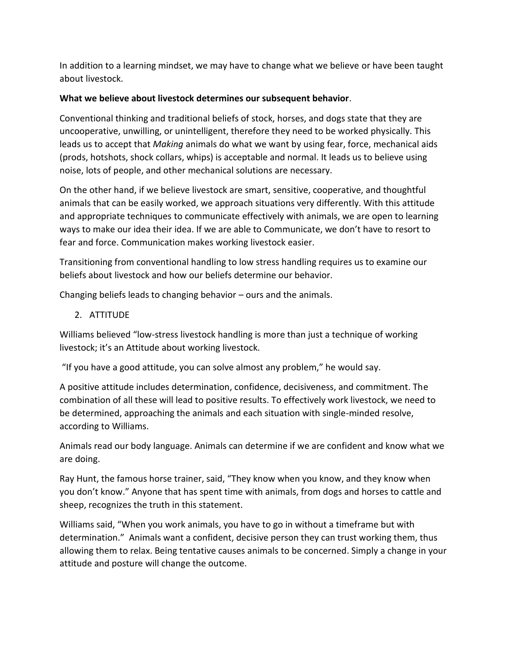In addition to a learning mindset, we may have to change what we believe or have been taught about livestock.

### **What we believe about livestock determines our subsequent behavior**.

Conventional thinking and traditional beliefs of stock, horses, and dogs state that they are uncooperative, unwilling, or unintelligent, therefore they need to be worked physically. This leads us to accept that *Making* animals do what we want by using fear, force, mechanical aids (prods, hotshots, shock collars, whips) is acceptable and normal. It leads us to believe using noise, lots of people, and other mechanical solutions are necessary.

On the other hand, if we believe livestock are smart, sensitive, cooperative, and thoughtful animals that can be easily worked, we approach situations very differently. With this attitude and appropriate techniques to communicate effectively with animals, we are open to learning ways to make our idea their idea. If we are able to Communicate, we don't have to resort to fear and force. Communication makes working livestock easier.

Transitioning from conventional handling to low stress handling requires us to examine our beliefs about livestock and how our beliefs determine our behavior.

Changing beliefs leads to changing behavior – ours and the animals.

# 2. ATTITUDE

Williams believed "low-stress livestock handling is more than just a technique of working livestock; it's an Attitude about working livestock.

"If you have a good attitude, you can solve almost any problem," he would say.

A positive attitude includes determination, confidence, decisiveness, and commitment. The combination of all these will lead to positive results. To effectively work livestock, we need to be determined, approaching the animals and each situation with single-minded resolve, according to Williams.

Animals read our body language. Animals can determine if we are confident and know what we are doing.

Ray Hunt, the famous horse trainer, said, "They know when you know, and they know when you don't know." Anyone that has spent time with animals, from dogs and horses to cattle and sheep, recognizes the truth in this statement.

Williams said, "When you work animals, you have to go in without a timeframe but with determination." Animals want a confident, decisive person they can trust working them, thus allowing them to relax. Being tentative causes animals to be concerned. Simply a change in your attitude and posture will change the outcome.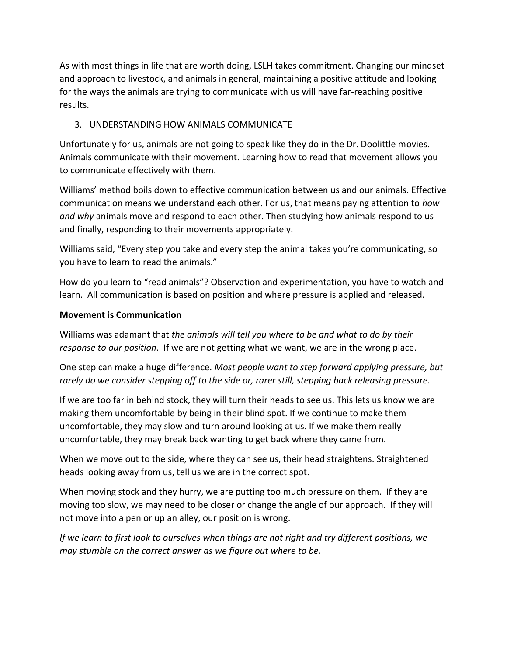As with most things in life that are worth doing, LSLH takes commitment. Changing our mindset and approach to livestock, and animals in general, maintaining a positive attitude and looking for the ways the animals are trying to communicate with us will have far-reaching positive results.

# 3. UNDERSTANDING HOW ANIMALS COMMUNICATE

Unfortunately for us, animals are not going to speak like they do in the Dr. Doolittle movies. Animals communicate with their movement. Learning how to read that movement allows you to communicate effectively with them.

Williams' method boils down to effective communication between us and our animals. Effective communication means we understand each other. For us, that means paying attention to *how and why* animals move and respond to each other. Then studying how animals respond to us and finally, responding to their movements appropriately.

Williams said, "Every step you take and every step the animal takes you're communicating, so you have to learn to read the animals."

How do you learn to "read animals"? Observation and experimentation, you have to watch and learn. All communication is based on position and where pressure is applied and released.

### **Movement is Communication**

Williams was adamant that *the animals will tell you where to be and what to do by their response to our position*. If we are not getting what we want, we are in the wrong place.

One step can make a huge difference. *Most people want to step forward applying pressure, but rarely do we consider stepping off to the side or, rarer still, stepping back releasing pressure.*

If we are too far in behind stock, they will turn their heads to see us. This lets us know we are making them uncomfortable by being in their blind spot. If we continue to make them uncomfortable, they may slow and turn around looking at us. If we make them really uncomfortable, they may break back wanting to get back where they came from.

When we move out to the side, where they can see us, their head straightens. Straightened heads looking away from us, tell us we are in the correct spot.

When moving stock and they hurry, we are putting too much pressure on them. If they are moving too slow, we may need to be closer or change the angle of our approach. If they will not move into a pen or up an alley, our position is wrong.

*If we learn to first look to ourselves when things are not right and try different positions, we may stumble on the correct answer as we figure out where to be.*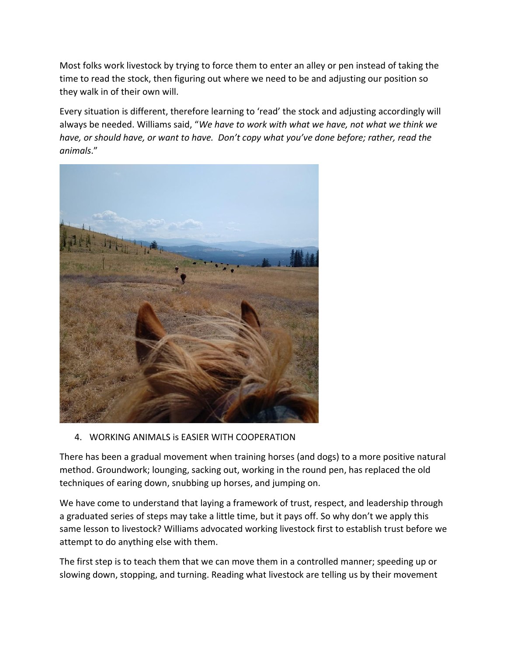Most folks work livestock by trying to force them to enter an alley or pen instead of taking the time to read the stock, then figuring out where we need to be and adjusting our position so they walk in of their own will.

Every situation is different, therefore learning to 'read' the stock and adjusting accordingly will always be needed. Williams said, "*We have to work with what we have, not what we think we have, or should have, or want to have. Don't copy what you've done before; rather, read the animals*."



4. WORKING ANIMALS is EASIER WITH COOPERATION

There has been a gradual movement when training horses (and dogs) to a more positive natural method. Groundwork; lounging, sacking out, working in the round pen, has replaced the old techniques of earing down, snubbing up horses, and jumping on.

We have come to understand that laying a framework of trust, respect, and leadership through a graduated series of steps may take a little time, but it pays off. So why don't we apply this same lesson to livestock? Williams advocated working livestock first to establish trust before we attempt to do anything else with them.

The first step is to teach them that we can move them in a controlled manner; speeding up or slowing down, stopping, and turning. Reading what livestock are telling us by their movement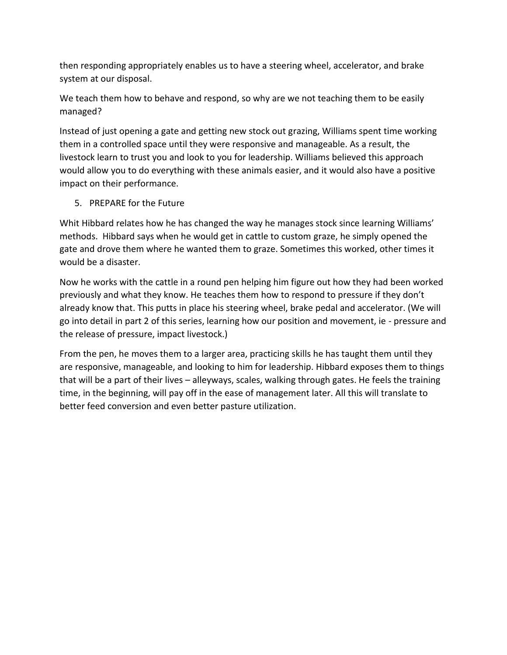then responding appropriately enables us to have a steering wheel, accelerator, and brake system at our disposal.

We teach them how to behave and respond, so why are we not teaching them to be easily managed?

Instead of just opening a gate and getting new stock out grazing, Williams spent time working them in a controlled space until they were responsive and manageable. As a result, the livestock learn to trust you and look to you for leadership. Williams believed this approach would allow you to do everything with these animals easier, and it would also have a positive impact on their performance.

### 5. PREPARE for the Future

Whit Hibbard relates how he has changed the way he manages stock since learning Williams' methods. Hibbard says when he would get in cattle to custom graze, he simply opened the gate and drove them where he wanted them to graze. Sometimes this worked, other times it would be a disaster.

Now he works with the cattle in a round pen helping him figure out how they had been worked previously and what they know. He teaches them how to respond to pressure if they don't already know that. This putts in place his steering wheel, brake pedal and accelerator. (We will go into detail in part 2 of this series, learning how our position and movement, ie - pressure and the release of pressure, impact livestock.)

From the pen, he moves them to a larger area, practicing skills he has taught them until they are responsive, manageable, and looking to him for leadership. Hibbard exposes them to things that will be a part of their lives – alleyways, scales, walking through gates. He feels the training time, in the beginning, will pay off in the ease of management later. All this will translate to better feed conversion and even better pasture utilization.